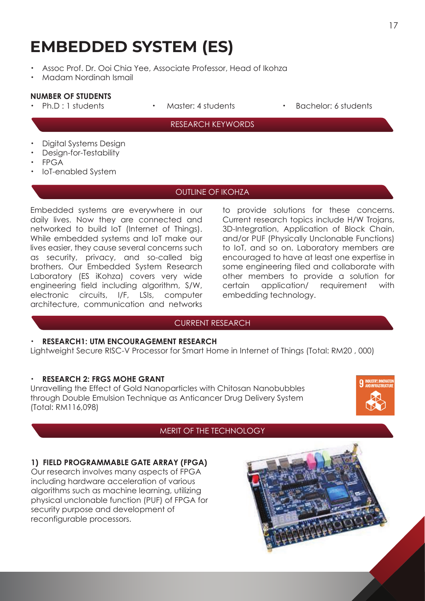# **EMBEDDED SYSTEM (ES)**

- Assoc Prof. Dr. Ooi Chia Yee, Associate Professor, Head of Ikohza
- ・ Madam Nordinah Ismail

#### **NUMBER OF STUDENTS**

- 
- 
- Ph.D : 1 students Master: 4 students Bachelor: 6 students

#### RESEARCH KEYWORDS

- Digital Systems Design
- Desian-for-Testability
- ・ FPGA
- ・ IoT-enabled System

#### OUTLINE OF IKOHZA

Embedded systems are everywhere in our daily lives. Now they are connected and networked to build IoT (Internet of Things). While embedded systems and IoT make our lives easier, they cause several concerns such as security, privacy, and so-called big brothers. Our Embedded System Research Laboratory (ES iKohza) covers very wide engineering field including algorithm, S/W, electronic circuits, I/F, LSIs, computer architecture, communication and networks

to provide solutions for these concerns. Current research topics include H/W Trojans, 3D-Integration, Application of Block Chain, and/or PUF (Physically Unclonable Functions) to IoT, and so on. Laboratory members are encouraged to have at least one expertise in some engineering filed and collaborate with other members to provide a solution for certain application/ requirement with embedding technology.

#### CURRENT RESEARCH

#### ・ **RESEARCH1: UTM ENCOURAGEMENT RESEARCH**

Lightweight Secure RISC-V Processor for Smart Home in Internet of Things (Total: RM20 , 000)

#### ・ **RESEARCH 2: FRGS MOHE GRANT**

Unravelling the Effect of Gold Nanoparticles with Chitosan Nanobubbles through Double Emulsion Technique as Anticancer Drug Delivery System (Total: RM116,098)



## MERIT OF THE TECHNOLOGY

## **1) FIELD PROGRAMMABLE GATE ARRAY (FPGA)**

Our research involves many aspects of FPGA including hardware acceleration of various algorithms such as machine learning, utilizing physical unclonable function (PUF) of FPGA for security purpose and development of reconfigurable processors.